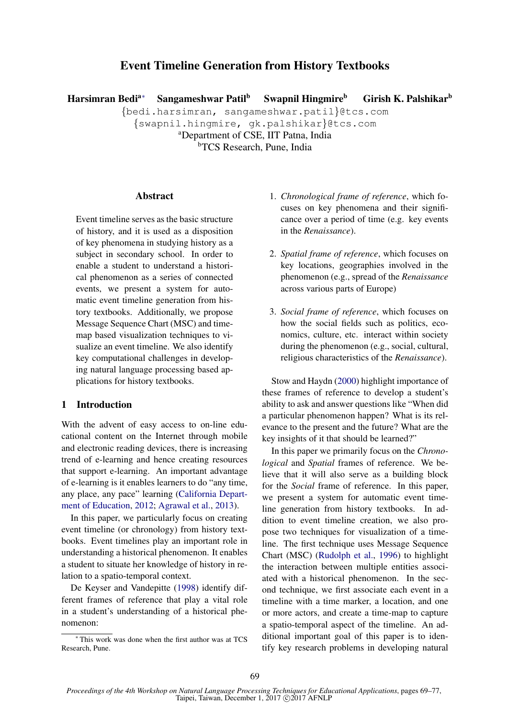# Event Timeline Generation from History Textbooks

Harsimran Bedi<sup>a∗</sup> Sangameshwar Patil<sup>b</sup> Swapnil Hingmire<sup>b</sup> Girish K. Palshikar<sup>b</sup>

{bedi.harsimran, sangameshwar.patil}@tcs.com

{swapnil.hingmire, gk.palshikar}@tcs.com

<sup>a</sup>Department of CSE, IIT Patna, India **bTCS** Research, Pune, India

#### Abstract

Event timeline serves as the basic structure of history, and it is used as a disposition of key phenomena in studying history as a subject in secondary school. In order to enable a student to understand a historical phenomenon as a series of connected events, we present a system for automatic event timeline generation from history textbooks. Additionally, we propose Message Sequence Chart (MSC) and timemap based visualization techniques to visualize an event timeline. We also identify key computational challenges in developing natural language processing based applications for history textbooks.

### 1 Introduction

With the advent of easy access to on-line educational content on the Internet through mobile and electronic reading devices, there is increasing trend of e-learning and hence creating resources that support e-learning. An important advantage of e-learning is it enables learners to do "any time, any place, any pace" learning (California Department of Education, 2012; Agrawal et al., 2013).

In this paper, we particularly focus on creating event timeline (or chronology) from history textbooks. Event timelines play an important role in understanding a historical phenomenon. It enables a student to situate her knowledge of history in relation to a spatio-temporal context.

De Keyser and Vandepitte (1998) identify different frames of reference that play a vital role in a student's understanding of a historical phenomenon:

- 1. *Chronological frame of reference*, which focuses on key phenomena and their significance over a period of time (e.g. key events in the *Renaissance*).
- 2. *Spatial frame of reference*, which focuses on key locations, geographies involved in the phenomenon (e.g., spread of the *Renaissance* across various parts of Europe)
- 3. *Social frame of reference*, which focuses on how the social fields such as politics, economics, culture, etc. interact within society during the phenomenon (e.g., social, cultural, religious characteristics of the *Renaissance*).

Stow and Haydn (2000) highlight importance of these frames of reference to develop a student's ability to ask and answer questions like "When did a particular phenomenon happen? What is its relevance to the present and the future? What are the key insights of it that should be learned?"

In this paper we primarily focus on the *Chronological* and *Spatial* frames of reference. We believe that it will also serve as a building block for the *Social* frame of reference. In this paper, we present a system for automatic event timeline generation from history textbooks. In addition to event timeline creation, we also propose two techniques for visualization of a timeline. The first technique uses Message Sequence Chart (MSC) (Rudolph et al., 1996) to highlight the interaction between multiple entities associated with a historical phenomenon. In the second technique, we first associate each event in a timeline with a time marker, a location, and one or more actors, and create a time-map to capture a spatio-temporal aspect of the timeline. An additional important goal of this paper is to identify key research problems in developing natural

<sup>∗</sup> This work was done when the first author was at TCS Research, Pune.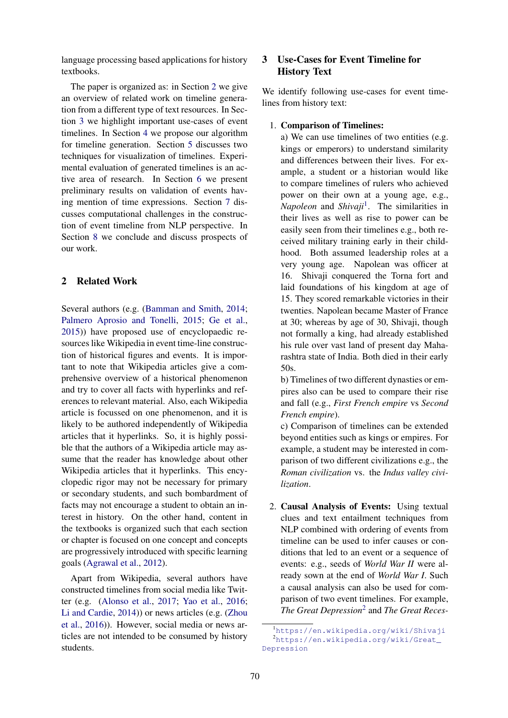language processing based applications for history textbooks.

The paper is organized as: in Section 2 we give an overview of related work on timeline generation from a different type of text resources. In Section 3 we highlight important use-cases of event timelines. In Section 4 we propose our algorithm for timeline generation. Section 5 discusses two techniques for visualization of timelines. Experimental evaluation of generated timelines is an active area of research. In Section 6 we present preliminary results on validation of events having mention of time expressions. Section 7 discusses computational challenges in the construction of event timeline from NLP perspective. In Section 8 we conclude and discuss prospects of our work.

### 2 Related Work

Several authors (e.g. (Bamman and Smith, 2014; Palmero Aprosio and Tonelli, 2015; Ge et al., 2015)) have proposed use of encyclopaedic resources like Wikipedia in event time-line construction of historical figures and events. It is important to note that Wikipedia articles give a comprehensive overview of a historical phenomenon and try to cover all facts with hyperlinks and references to relevant material. Also, each Wikipedia article is focussed on one phenomenon, and it is likely to be authored independently of Wikipedia articles that it hyperlinks. So, it is highly possible that the authors of a Wikipedia article may assume that the reader has knowledge about other Wikipedia articles that it hyperlinks. This encyclopedic rigor may not be necessary for primary or secondary students, and such bombardment of facts may not encourage a student to obtain an interest in history. On the other hand, content in the textbooks is organized such that each section or chapter is focused on one concept and concepts are progressively introduced with specific learning goals (Agrawal et al., 2012).

Apart from Wikipedia, several authors have constructed timelines from social media like Twitter (e.g. (Alonso et al., 2017; Yao et al., 2016; Li and Cardie, 2014)) or news articles (e.g. (Zhou et al., 2016)). However, social media or news articles are not intended to be consumed by history students.

# 3 Use-Cases for Event Timeline for History Text

We identify following use-cases for event timelines from history text:

1. Comparison of Timelines:

a) We can use timelines of two entities (e.g. kings or emperors) to understand similarity and differences between their lives. For example, a student or a historian would like to compare timelines of rulers who achieved power on their own at a young age, e.g., *Napoleon* and *Shivaji*<sup>1</sup> . The similarities in their lives as well as rise to power can be easily seen from their timelines e.g., both received military training early in their childhood. Both assumed leadership roles at a very young age. Napolean was officer at 16. Shivaji conquered the Torna fort and laid foundations of his kingdom at age of 15. They scored remarkable victories in their twenties. Napolean became Master of France at 30; whereas by age of 30, Shivaji, though not formally a king, had already established his rule over vast land of present day Maharashtra state of India. Both died in their early 50s.

b) Timelines of two different dynasties or empires also can be used to compare their rise and fall (e.g., *First French empire* vs *Second French empire*).

c) Comparison of timelines can be extended beyond entities such as kings or empires. For example, a student may be interested in comparison of two different civilizations e.g., the *Roman civilization* vs. the *Indus valley civilization*.

2. Causal Analysis of Events: Using textual clues and text entailment techniques from NLP combined with ordering of events from timeline can be used to infer causes or conditions that led to an event or a sequence of events: e.g., seeds of *World War II* were already sown at the end of *World War I*. Such a causal analysis can also be used for comparison of two event timelines. For example, *The Great Depression*<sup>2</sup> and *The Great Reces-*

<sup>1</sup>https://en.wikipedia.org/wiki/Shivaji <sup>2</sup>https://en.wikipedia.org/wiki/Great\_ Depression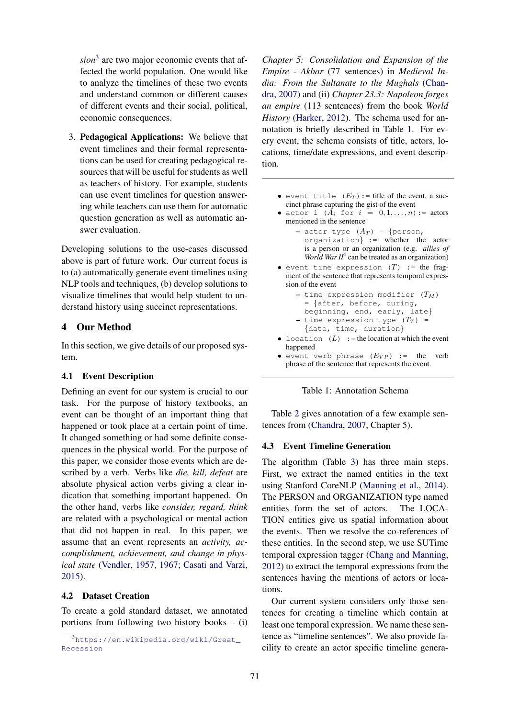*sion*<sup>3</sup> are two major economic events that affected the world population. One would like to analyze the timelines of these two events and understand common or different causes of different events and their social, political, economic consequences.

3. Pedagogical Applications: We believe that event timelines and their formal representations can be used for creating pedagogical resources that will be useful for students as well as teachers of history. For example, students can use event timelines for question answering while teachers can use them for automatic question generation as well as automatic answer evaluation.

Developing solutions to the use-cases discussed above is part of future work. Our current focus is to (a) automatically generate event timelines using NLP tools and techniques, (b) develop solutions to visualize timelines that would help student to understand history using succinct representations.

## 4 Our Method

In this section, we give details of our proposed system.

### 4.1 Event Description

Defining an event for our system is crucial to our task. For the purpose of history textbooks, an event can be thought of an important thing that happened or took place at a certain point of time. It changed something or had some definite consequences in the physical world. For the purpose of this paper, we consider those events which are described by a verb. Verbs like *die, kill, defeat* are absolute physical action verbs giving a clear indication that something important happened. On the other hand, verbs like *consider, regard, think* are related with a psychological or mental action that did not happen in real. In this paper, we assume that an event represents an *activity, accomplishment, achievement, and change in physical state* (Vendler, 1957, 1967; Casati and Varzi, 2015).

## 4.2 Dataset Creation

To create a gold standard dataset, we annotated portions from following two history books – (i)

*Chapter 5: Consolidation and Expansion of the Empire - Akbar* (77 sentences) in *Medieval India: From the Sultanate to the Mughals* (Chandra, 2007) and (ii) *Chapter 23.3: Napoleon forges an empire* (113 sentences) from the book *World History* (Harker, 2012). The schema used for annotation is briefly described in Table 1. For every event, the schema consists of title, actors, locations, time/date expressions, and event description.

- event title  $(E_T)$ : = title of the event, a succinct phrase capturing the gist of the event
- actor i  $(A_i \text{ for } i = 0, 1, ..., n)$ : = actors mentioned in the sentence
	- actor type  $(A_T)$  = {person, organization} := whether the actor is a person or an organization (e.g. *allies of* World War II<sup>4</sup> can be treated as an organization)
- event time expression  $(T)$  := the fragment of the sentence that represents temporal expression of the event

```
- time expression modifier (T_M)= {after, before, during,
```
- beginning, end, early, late}
- time expression type  $(T_T)$  = {date, time, duration}
- location  $(L)$  := the location at which the event happened
- event verb phrase  $(E_{VP})$  := the verb phrase of the sentence that represents the event.



Table 2 gives annotation of a few example sentences from (Chandra, 2007, Chapter 5).

### 4.3 Event Timeline Generation

The algorithm (Table 3) has three main steps. First, we extract the named entities in the text using Stanford CoreNLP (Manning et al., 2014). The PERSON and ORGANIZATION type named entities form the set of actors. The LOCA-TION entities give us spatial information about the events. Then we resolve the co-references of these entities. In the second step, we use SUTime temporal expression tagger (Chang and Manning, 2012) to extract the temporal expressions from the sentences having the mentions of actors or locations.

Our current system considers only those sentences for creating a timeline which contain at least one temporal expression. We name these sentence as "timeline sentences". We also provide facility to create an actor specific timeline genera-

<sup>&</sup>lt;sup>3</sup>https://en.wikipedia.org/wiki/Great\_ Recession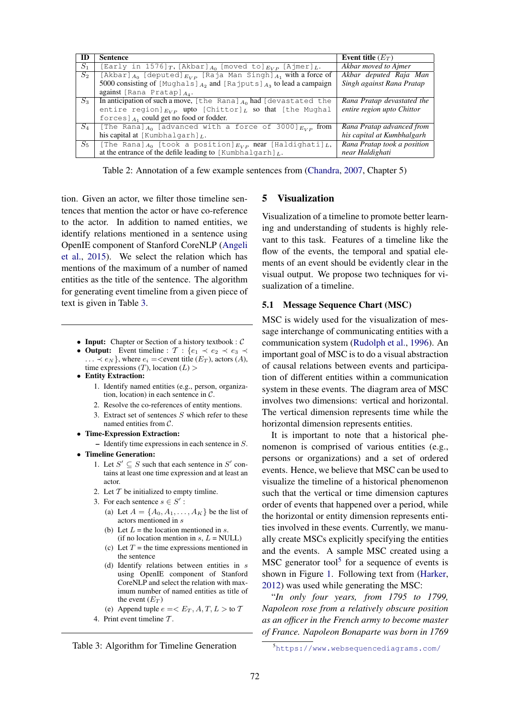| ID      | <b>Sentence</b>                                                                 | Event title $(E_T)$         |
|---------|---------------------------------------------------------------------------------|-----------------------------|
| $S_1$   | [Early in 1576] $T$ , [Akbar] $A_0$ [moved to] $E_{VP}$ [Ajmer] $L$ .           | Akbar moved to Ajmer        |
| $S_2$   | [Akbar] $A_0$ [deputed] $E_{VP}$ [Raja Man Singh] $A_1$ with a force of         | Akbar deputed Raja Man      |
|         | 5000 consisting of [Mughals] $_{A_2}$ and [Rajputs] $_{A_3}$ to lead a campaign | Singh against Rana Pratap   |
|         | against [Rana Pratap] $A_4$ .                                                   |                             |
| $S_3$   | In anticipation of such a move, [the Rana] $_{A_0}$ had [devastated the         | Rana Pratap devastated the  |
|         | entire region] $_{EVP}$ upto [Chittor] $_L$ so that [the Mughal]                | entire region upto Chittor  |
|         | forces $]$ $A_1$ could get no food or fodder.                                   |                             |
| $S_4$   | [The Rana] $A_0$ [advanced with a force of 3000] $_{E_{VP}}$ from               | Rana Pratap advanced from   |
|         | his capital at [Kumbhalqarh] $_L$ .                                             | his capital at Kumbhalgarh  |
| $S_{5}$ | [The Rana] $_{A_0}$ [took a position] $_{E_{VP}}$ near [Haldighati] $_L$ ,      | Rana Pratap took a position |
|         | at the entrance of the defile leading to [Kumbhalgarh] $_L$ .                   | near Haldighati             |

Table 2: Annotation of a few example sentences from (Chandra, 2007, Chapter 5)

tion. Given an actor, we filter those timeline sentences that mention the actor or have co-reference to the actor. In addition to named entities, we identify relations mentioned in a sentence using OpenIE component of Stanford CoreNLP (Angeli et al., 2015). We select the relation which has mentions of the maximum of a number of named entities as the title of the sentence. The algorithm for generating event timeline from a given piece of text is given in Table 3.

- Input: Chapter or Section of a history textbook :  $C$
- Output: Event timeline :  $\mathcal{T}$  : { $e_1 \prec e_2 \prec e_3 \prec$  $\dots \prec e_N$ , where  $e_i = \text{, actors  $(A)$ ,$ time expressions  $(T)$ , location  $(L)$
- Entity Extraction:
	- 1. Identify named entities (e.g., person, organization, location) in each sentence in  $C$ .
	- 2. Resolve the co-references of entity mentions.
	- 3. Extract set of sentences  $S$  which refer to these named entities from C.
- Time-Expression Extraction:
	- Identify time expressions in each sentence in S.
- Timeline Generation:
	- 1. Let  $S' \subseteq S$  such that each sentence in  $S'$  contains at least one time expression and at least an actor.
	- 2. Let  $T$  be initialized to empty timline.
	- 3. For each sentence  $s \in S'$ :
		- (a) Let  $A = \{A_0, A_1, \ldots, A_K\}$  be the list of actors mentioned in s
		- (b) Let  $L =$  the location mentioned in s. (if no location mention in  $s, L = NULL$ )
		- (c) Let  $T =$  the time expressions mentioned in the sentence
		- (d) Identify relations between entities in  $s$ using OpenIE component of Stanford CoreNLP and select the relation with maximum number of named entities as title of the event  $(E_T)$
		- (e) Append tuple  $e = \langle E_T, A, T, L \rangle$  to T
	- 4. Print event timeline T .

Table 3: Algorithm for Timeline Generation

#### 5 Visualization

Visualization of a timeline to promote better learning and understanding of students is highly relevant to this task. Features of a timeline like the flow of the events, the temporal and spatial elements of an event should be evidently clear in the visual output. We propose two techniques for visualization of a timeline.

### 5.1 Message Sequence Chart (MSC)

MSC is widely used for the visualization of message interchange of communicating entities with a communication system (Rudolph et al., 1996). An important goal of MSC is to do a visual abstraction of causal relations between events and participation of different entities within a communication system in these events. The diagram area of MSC involves two dimensions: vertical and horizontal. The vertical dimension represents time while the horizontal dimension represents entities.

It is important to note that a historical phenomenon is comprised of various entities (e.g., persons or organizations) and a set of ordered events. Hence, we believe that MSC can be used to visualize the timeline of a historical phenomenon such that the vertical or time dimension captures order of events that happened over a period, while the horizontal or entity dimension represents entities involved in these events. Currently, we manually create MSCs explicitly specifying the entities and the events. A sample MSC created using a  $MSC$  generator tool<sup>5</sup> for a sequence of events is shown in Figure 1. Following text from (Harker, 2012) was used while generating the MSC:

"*In only four years, from 1795 to 1799, Napoleon rose from a relatively obscure position as an officer in the French army to become master of France. Napoleon Bonaparte was born in 1769*

<sup>5</sup>https://www.websequencediagrams.com/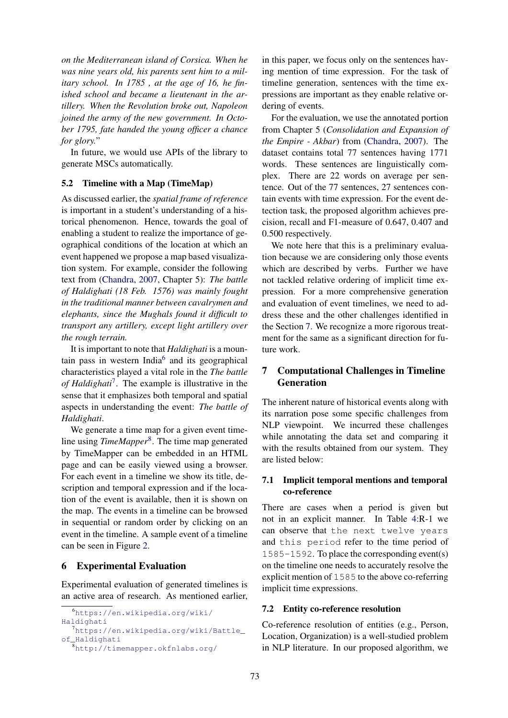*on the Mediterranean island of Corsica. When he was nine years old, his parents sent him to a military school. In 1785 , at the age of 16, he finished school and became a lieutenant in the artillery. When the Revolution broke out, Napoleon joined the army of the new government. In October 1795, fate handed the young officer a chance for glory.*"

In future, we would use APIs of the library to generate MSCs automatically.

### 5.2 Timeline with a Map (TimeMap)

As discussed earlier, the *spatial frame of reference* is important in a student's understanding of a historical phenomenon. Hence, towards the goal of enabling a student to realize the importance of geographical conditions of the location at which an event happened we propose a map based visualization system. For example, consider the following text from (Chandra, 2007, Chapter 5): *The battle of Haldighati (18 Feb. 1576) was mainly fought in the traditional manner between cavalrymen and elephants, since the Mughals found it difficult to transport any artillery, except light artillery over the rough terrain.*

It is important to note that *Haldighati* is a mountain pass in western India<sup>6</sup> and its geographical characteristics played a vital role in the *The battle of Haldighati*<sup>7</sup> . The example is illustrative in the sense that it emphasizes both temporal and spatial aspects in understanding the event: *The battle of Haldighati*.

We generate a time map for a given event timeline using *TimeMapper*<sup>8</sup> . The time map generated by TimeMapper can be embedded in an HTML page and can be easily viewed using a browser. For each event in a timeline we show its title, description and temporal expression and if the location of the event is available, then it is shown on the map. The events in a timeline can be browsed in sequential or random order by clicking on an event in the timeline. A sample event of a timeline can be seen in Figure 2.

## 6 Experimental Evaluation

Experimental evaluation of generated timelines is an active area of research. As mentioned earlier,

```
6https://en.wikipedia.org/wiki/
Haldighati
  7https://en.wikipedia.org/wiki/Battle_
of_Haldighati
  8http://timemapper.okfnlabs.org/
```
in this paper, we focus only on the sentences having mention of time expression. For the task of timeline generation, sentences with the time expressions are important as they enable relative ordering of events.

For the evaluation, we use the annotated portion from Chapter 5 (*Consolidation and Expansion of the Empire - Akbar*) from (Chandra, 2007). The dataset contains total 77 sentences having 1771 words. These sentences are linguistically complex. There are 22 words on average per sentence. Out of the 77 sentences, 27 sentences contain events with time expression. For the event detection task, the proposed algorithm achieves precision, recall and F1-measure of 0.647, 0.407 and 0.500 respectively.

We note here that this is a preliminary evaluation because we are considering only those events which are described by verbs. Further we have not tackled relative ordering of implicit time expression. For a more comprehensive generation and evaluation of event timelines, we need to address these and the other challenges identified in the Section 7. We recognize a more rigorous treatment for the same as a significant direction for future work.

# 7 Computational Challenges in Timeline Generation

The inherent nature of historical events along with its narration pose some specific challenges from NLP viewpoint. We incurred these challenges while annotating the data set and comparing it with the results obtained from our system. They are listed below:

# 7.1 Implicit temporal mentions and temporal co-reference

There are cases when a period is given but not in an explicit manner. In Table 4:R-1 we can observe that the next twelve years and this period refer to the time period of 1585-1592. To place the corresponding event(s) on the timeline one needs to accurately resolve the explicit mention of 1585 to the above co-referring implicit time expressions.

## 7.2 Entity co-reference resolution

Co-reference resolution of entities (e.g., Person, Location, Organization) is a well-studied problem in NLP literature. In our proposed algorithm, we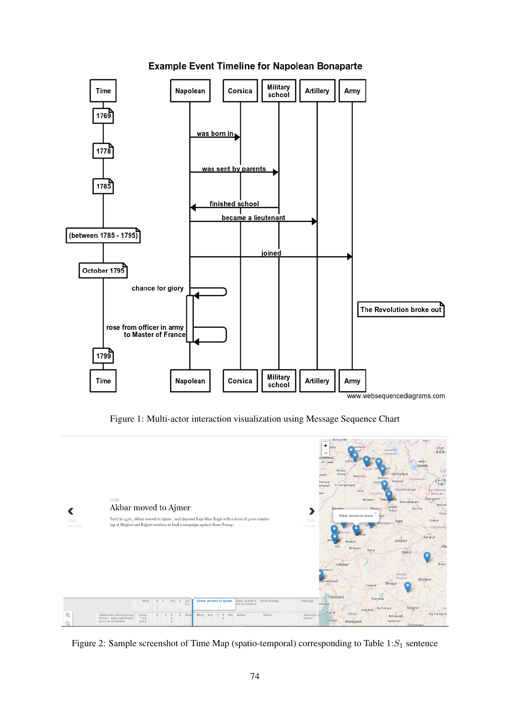

# **Example Event Timeline for Napolean Bonaparte**

Figure 1: Multi-actor interaction visualization using Message Sequence Chart



Figure 2: Sample screenshot of Time Map (spatio-temporal) corresponding to Table  $1: S_1$  sentence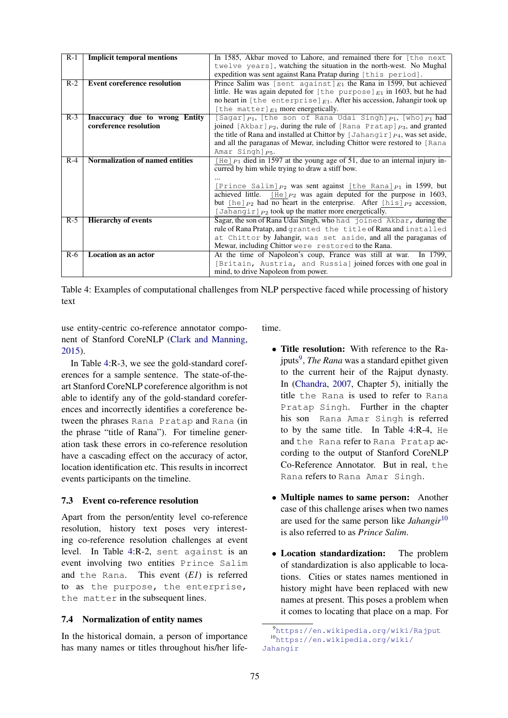| $R-1$ | <b>Implicit temporal mentions</b>   | In 1585, Akbar moved to Lahore, and remained there for [the next                       |  |
|-------|-------------------------------------|----------------------------------------------------------------------------------------|--|
|       |                                     | twelve years], watching the situation in the north-west. No Mughal                     |  |
|       |                                     | expedition was sent against Rana Pratap during [this period].                          |  |
| $R-2$ | <b>Event coreference resolution</b> | Prince Salim was [sent against] $F_1$ the Rana in 1599, but achieved                   |  |
|       |                                     | little. He was again deputed for [the purpose] $E_1$ in 1603, but he had               |  |
|       |                                     | no heart in [the enterprise] $E_1$ . After his accession, Jahangir took up             |  |
|       |                                     | [the matter] $E_1$ more energetically.                                                 |  |
| $R-3$ | Inaccuracy due to wrong Entity      | [Sagar] $P_1$ , [the son of Rana Udai Singh] $P_1$ , [who] $P_1$ had                   |  |
|       | coreference resolution              | joined [Akbar] $_{P2}$ , during the rule of [Rana Pratap] $_{P3}$ , and granted        |  |
|       |                                     | the title of Rana and installed at Chittor by $\int Jahangir \,  p_4$ , was set aside, |  |
|       |                                     | and all the paraganas of Mewar, including Chittor were restored to [Rana               |  |
|       |                                     | Amar Singh $p_5$ .                                                                     |  |
| $R-4$ | Normalization of named entities     | [He] $_{P1}$ died in 1597 at the young age of 51, due to an internal injury in-        |  |
|       |                                     | curred by him while trying to draw a stiff bow.                                        |  |
|       |                                     |                                                                                        |  |
|       |                                     | [Prince Salim] $P_2$ was sent against [the Rana] $P_1$ in 1599, but                    |  |
|       |                                     | achieved little. [He] $P_2$ was again deputed for the purpose in 1603,                 |  |
|       |                                     | but [he] $P_2$ had no heart in the enterprise. After [his] $P_2$ accession,            |  |
|       |                                     | [Jahangir] $P_2$ took up the matter more energetically.                                |  |
| $R-5$ | <b>Hierarchy of events</b>          | Sagar, the son of Rana Udai Singh, who had joined Akbar, during the                    |  |
|       |                                     | rule of Rana Pratap, and granted the title of Rana and installed                       |  |
|       |                                     | at Chittor by Jahangir, was set aside, and all the paraganas of                        |  |
|       |                                     | Mewar, including Chittor were restored to the Rana.                                    |  |
|       |                                     |                                                                                        |  |
| $R-6$ | Location as an actor                | At the time of Napoleon's coup, France was still at war.<br>In 1799.                   |  |
|       |                                     | [Britain, Austria, and Russia] joined forces with one goal in                          |  |
|       |                                     | mind, to drive Napoleon from power.                                                    |  |

Table 4: Examples of computational challenges from NLP perspective faced while processing of history text

use entity-centric co-reference annotator component of Stanford CoreNLP (Clark and Manning, 2015).

In Table 4:R-3, we see the gold-standard coreferences for a sample sentence. The state-of-theart Stanford CoreNLP coreference algorithm is not able to identify any of the gold-standard coreferences and incorrectly identifies a coreference between the phrases Rana Pratap and Rana (in the phrase "title of Rana"). For timeline generation task these errors in co-reference resolution have a cascading effect on the accuracy of actor, location identification etc. This results in incorrect events participants on the timeline.

## 7.3 Event co-reference resolution

Apart from the person/entity level co-reference resolution, history text poses very interesting co-reference resolution challenges at event level. In Table 4:R-2, sent against is an event involving two entities Prince Salim and the Rana. This event (*E1*) is referred to as the purpose, the enterprise, the matter in the subsequent lines.

## 7.4 Normalization of entity names

In the historical domain, a person of importance has many names or titles throughout his/her lifetime.

- Title resolution: With reference to the Rajputs<sup>9</sup>, *The Rana* was a standard epithet given to the current heir of the Rajput dynasty. In (Chandra, 2007, Chapter 5), initially the title the Rana is used to refer to Rana Pratap Singh. Further in the chapter his son Rana Amar Singh is referred to by the same title. In Table 4:R-4, He and the Rana refer to Rana Pratap according to the output of Stanford CoreNLP Co-Reference Annotator. But in real, the Rana refers to Rana Amar Singh.
- Multiple names to same person: Another case of this challenge arises when two names are used for the same person like *Jahangir*<sup>10</sup> is also referred to as *Prince Salim*.
- Location standardization: The problem of standardization is also applicable to locations. Cities or states names mentioned in history might have been replaced with new names at present. This poses a problem when it comes to locating that place on a map. For

<sup>9</sup>https://en.wikipedia.org/wiki/Rajput <sup>10</sup>https://en.wikipedia.org/wiki/ Jahangir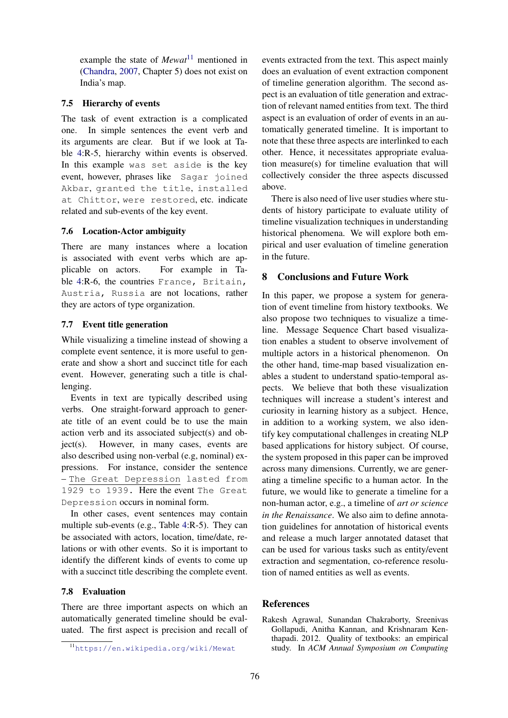example the state of *Mewat*<sup>11</sup> mentioned in (Chandra, 2007, Chapter 5) does not exist on India's map.

## 7.5 Hierarchy of events

The task of event extraction is a complicated one. In simple sentences the event verb and its arguments are clear. But if we look at Table 4:R-5, hierarchy within events is observed. In this example was set aside is the key event, however, phrases like Sagar joined Akbar, granted the title, installed at Chittor, were restored, etc. indicate related and sub-events of the key event.

### 7.6 Location-Actor ambiguity

There are many instances where a location is associated with event verbs which are applicable on actors. For example in Table 4:R-6, the countries France, Britain, Austria, Russia are not locations, rather they are actors of type organization.

### 7.7 Event title generation

While visualizing a timeline instead of showing a complete event sentence, it is more useful to generate and show a short and succinct title for each event. However, generating such a title is challenging.

Events in text are typically described using verbs. One straight-forward approach to generate title of an event could be to use the main action verb and its associated subject(s) and object(s). However, in many cases, events are also described using non-verbal (e.g, nominal) expressions. For instance, consider the sentence – The Great Depression lasted from 1929 to 1939. Here the event The Great Depression occurs in nominal form.

In other cases, event sentences may contain multiple sub-events (e.g., Table 4:R-5). They can be associated with actors, location, time/date, relations or with other events. So it is important to identify the different kinds of events to come up with a succinct title describing the complete event.

## 7.8 Evaluation

There are three important aspects on which an automatically generated timeline should be evaluated. The first aspect is precision and recall of

events extracted from the text. This aspect mainly does an evaluation of event extraction component of timeline generation algorithm. The second aspect is an evaluation of title generation and extraction of relevant named entities from text. The third aspect is an evaluation of order of events in an automatically generated timeline. It is important to note that these three aspects are interlinked to each other. Hence, it necessitates appropriate evaluation measure(s) for timeline evaluation that will collectively consider the three aspects discussed above.

There is also need of live user studies where students of history participate to evaluate utility of timeline visualization techniques in understanding historical phenomena. We will explore both empirical and user evaluation of timeline generation in the future.

## 8 Conclusions and Future Work

In this paper, we propose a system for generation of event timeline from history textbooks. We also propose two techniques to visualize a timeline. Message Sequence Chart based visualization enables a student to observe involvement of multiple actors in a historical phenomenon. On the other hand, time-map based visualization enables a student to understand spatio-temporal aspects. We believe that both these visualization techniques will increase a student's interest and curiosity in learning history as a subject. Hence, in addition to a working system, we also identify key computational challenges in creating NLP based applications for history subject. Of course, the system proposed in this paper can be improved across many dimensions. Currently, we are generating a timeline specific to a human actor. In the future, we would like to generate a timeline for a non-human actor, e.g., a timeline of *art or science in the Renaissance*. We also aim to define annotation guidelines for annotation of historical events and release a much larger annotated dataset that can be used for various tasks such as entity/event extraction and segmentation, co-reference resolution of named entities as well as events.

# References

Rakesh Agrawal, Sunandan Chakraborty, Sreenivas Gollapudi, Anitha Kannan, and Krishnaram Kenthapadi. 2012. Quality of textbooks: an empirical study. In *ACM Annual Symposium on Computing*

<sup>11</sup>https://en.wikipedia.org/wiki/Mewat